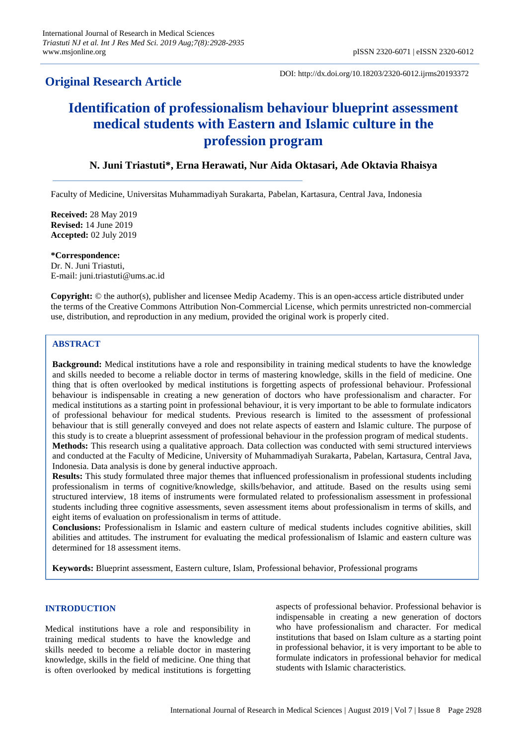# **Original Research Article**

DOI: http://dx.doi.org/10.18203/2320-6012.ijrms20193372

# **Identification of professionalism behaviour blueprint assessment medical students with Eastern and Islamic culture in the profession program**

# **N. Juni Triastuti\*, Erna Herawati, Nur Aida Oktasari, Ade Oktavia Rhaisya**

Faculty of Medicine, Universitas Muhammadiyah Surakarta, Pabelan, Kartasura, Central Java, Indonesia

**Received:** 28 May 2019 **Revised:** 14 June 2019 **Accepted:** 02 July 2019

**\*Correspondence:** Dr. N. Juni Triastuti, E-mail: juni.triastuti@ums.ac.id

**Copyright:** © the author(s), publisher and licensee Medip Academy. This is an open-access article distributed under the terms of the Creative Commons Attribution Non-Commercial License, which permits unrestricted non-commercial use, distribution, and reproduction in any medium, provided the original work is properly cited.

## **ABSTRACT**

**Background:** Medical institutions have a role and responsibility in training medical students to have the knowledge and skills needed to become a reliable doctor in terms of mastering knowledge, skills in the field of medicine. One thing that is often overlooked by medical institutions is forgetting aspects of professional behaviour. Professional behaviour is indispensable in creating a new generation of doctors who have professionalism and character. For medical institutions as a starting point in professional behaviour, it is very important to be able to formulate indicators of professional behaviour for medical students. Previous research is limited to the assessment of professional behaviour that is still generally conveyed and does not relate aspects of eastern and Islamic culture. The purpose of this study is to create a blueprint assessment of professional behaviour in the profession program of medical students. **Methods:** This research using a qualitative approach. Data collection was conducted with semi structured interviews and conducted at the Faculty of Medicine, University of Muhammadiyah Surakarta, Pabelan, Kartasura, Central Java, Indonesia. Data analysis is done by general inductive approach.

**Results:** This study formulated three major themes that influenced professionalism in professional students including professionalism in terms of cognitive/knowledge, skills/behavior, and attitude. Based on the results using semi structured interview, 18 items of instruments were formulated related to professionalism assessment in professional students including three cognitive assessments, seven assessment items about professionalism in terms of skills, and eight items of evaluation on professionalism in terms of attitude.

**Conclusions:** Professionalism in Islamic and eastern culture of medical students includes cognitive abilities, skill abilities and attitudes. The instrument for evaluating the medical professionalism of Islamic and eastern culture was determined for 18 assessment items.

**Keywords:** Blueprint assessment, Eastern culture, Islam, Professional behavior, Professional programs

#### **INTRODUCTION**

Medical institutions have a role and responsibility in training medical students to have the knowledge and skills needed to become a reliable doctor in mastering knowledge, skills in the field of medicine. One thing that is often overlooked by medical institutions is forgetting aspects of professional behavior. Professional behavior is indispensable in creating a new generation of doctors who have professionalism and character. For medical institutions that based on Islam culture as a starting point in professional behavior, it is very important to be able to formulate indicators in professional behavior for medical students with Islamic characteristics.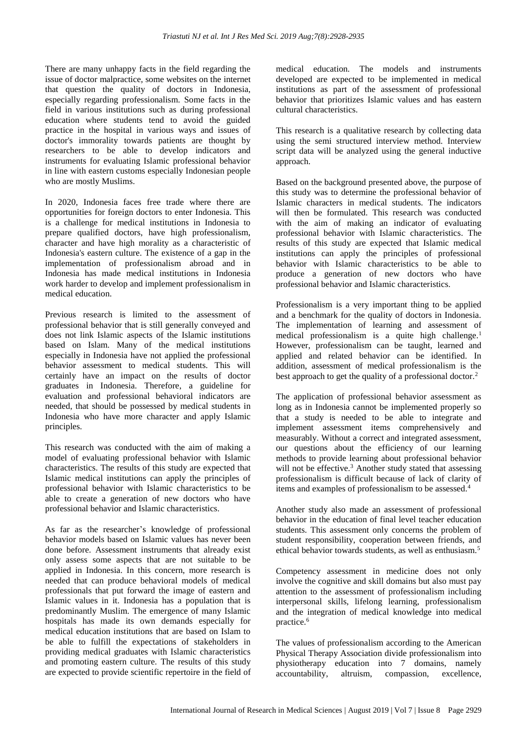There are many unhappy facts in the field regarding the issue of doctor malpractice, some websites on the internet that question the quality of doctors in Indonesia, especially regarding professionalism. Some facts in the field in various institutions such as during professional education where students tend to avoid the guided practice in the hospital in various ways and issues of doctor's immorality towards patients are thought by researchers to be able to develop indicators and instruments for evaluating Islamic professional behavior in line with eastern customs especially Indonesian people who are mostly Muslims.

In 2020, Indonesia faces free trade where there are opportunities for foreign doctors to enter Indonesia. This is a challenge for medical institutions in Indonesia to prepare qualified doctors, have high professionalism, character and have high morality as a characteristic of Indonesia's eastern culture. The existence of a gap in the implementation of professionalism abroad and in Indonesia has made medical institutions in Indonesia work harder to develop and implement professionalism in medical education.

Previous research is limited to the assessment of professional behavior that is still generally conveyed and does not link Islamic aspects of the Islamic institutions based on Islam. Many of the medical institutions especially in Indonesia have not applied the professional behavior assessment to medical students. This will certainly have an impact on the results of doctor graduates in Indonesia. Therefore, a guideline for evaluation and professional behavioral indicators are needed, that should be possessed by medical students in Indonesia who have more character and apply Islamic principles.

This research was conducted with the aim of making a model of evaluating professional behavior with Islamic characteristics. The results of this study are expected that Islamic medical institutions can apply the principles of professional behavior with Islamic characteristics to be able to create a generation of new doctors who have professional behavior and Islamic characteristics.

As far as the researcher's knowledge of professional behavior models based on Islamic values has never been done before. Assessment instruments that already exist only assess some aspects that are not suitable to be applied in Indonesia. In this concern, more research is needed that can produce behavioral models of medical professionals that put forward the image of eastern and Islamic values in it. Indonesia has a population that is predominantly Muslim. The emergence of many Islamic hospitals has made its own demands especially for medical education institutions that are based on Islam to be able to fulfill the expectations of stakeholders in providing medical graduates with Islamic characteristics and promoting eastern culture. The results of this study are expected to provide scientific repertoire in the field of medical education. The models and instruments developed are expected to be implemented in medical institutions as part of the assessment of professional behavior that prioritizes Islamic values and has eastern cultural characteristics.

This research is a qualitative research by collecting data using the semi structured interview method. Interview script data will be analyzed using the general inductive approach.

Based on the background presented above, the purpose of this study was to determine the professional behavior of Islamic characters in medical students. The indicators will then be formulated. This research was conducted with the aim of making an indicator of evaluating professional behavior with Islamic characteristics. The results of this study are expected that Islamic medical institutions can apply the principles of professional behavior with Islamic characteristics to be able to produce a generation of new doctors who have professional behavior and Islamic characteristics.

Professionalism is a very important thing to be applied and a benchmark for the quality of doctors in Indonesia. The implementation of learning and assessment of medical professionalism is a quite high challenge.<sup>1</sup> However, professionalism can be taught, learned and applied and related behavior can be identified. In addition, assessment of medical professionalism is the best approach to get the quality of a professional doctor.<sup>2</sup>

The application of professional behavior assessment as long as in Indonesia cannot be implemented properly so that a study is needed to be able to integrate and implement assessment items comprehensively and measurably. Without a correct and integrated assessment, our questions about the efficiency of our learning methods to provide learning about professional behavior will not be effective.<sup>3</sup> Another study stated that assessing professionalism is difficult because of lack of clarity of items and examples of professionalism to be assessed.<sup>4</sup>

Another study also made an assessment of professional behavior in the education of final level teacher education students. This assessment only concerns the problem of student responsibility, cooperation between friends, and ethical behavior towards students, as well as enthusiasm.<sup>5</sup>

Competency assessment in medicine does not only involve the cognitive and skill domains but also must pay attention to the assessment of professionalism including interpersonal skills, lifelong learning, professionalism and the integration of medical knowledge into medical practice.<sup>6</sup>

The values of professionalism according to the American Physical Therapy Association divide professionalism into physiotherapy education into 7 domains, namely accountability, altruism, compassion, excellence,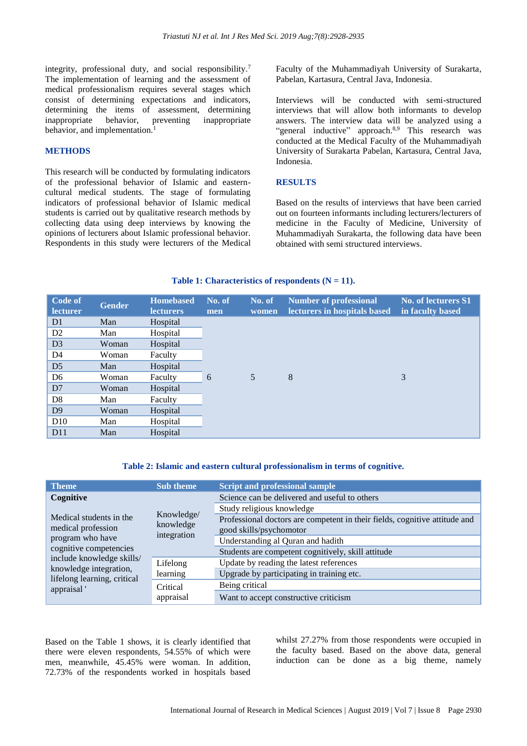integrity, professional duty, and social responsibility.<sup>7</sup> The implementation of learning and the assessment of medical professionalism requires several stages which consist of determining expectations and indicators, determining the items of assessment, determining inappropriate behavior, preventing inappropriate behavior, and implementation.<sup>1</sup>

#### **METHODS**

This research will be conducted by formulating indicators of the professional behavior of Islamic and easterncultural medical students. The stage of formulating indicators of professional behavior of Islamic medical students is carried out by qualitative research methods by collecting data using deep interviews by knowing the opinions of lecturers about Islamic professional behavior. Respondents in this study were lecturers of the Medical Faculty of the Muhammadiyah University of Surakarta, Pabelan, Kartasura, Central Java, Indonesia.

Interviews will be conducted with semi-structured interviews that will allow both informants to develop answers. The interview data will be analyzed using a "general inductive" approach.<sup>8,9</sup> This research was conducted at the Medical Faculty of the Muhammadiyah University of Surakarta Pabelan, Kartasura, Central Java, Indonesia.

#### **RESULTS**

Based on the results of interviews that have been carried out on fourteen informants including lecturers/lecturers of medicine in the Faculty of Medicine, University of Muhammadiyah Surakarta, the following data have been obtained with semi structured interviews.

#### Table 1: Characteristics of respondents  $(N = 11)$ .

| Code of<br><b>lecturer</b> | <b>Gender</b> | <b>Homebased</b><br>lecturers | No. of<br>men | No. of<br>women | <b>Number of professional</b><br>lecturers in hospitals based | No. of lecturers S1<br>in faculty based |
|----------------------------|---------------|-------------------------------|---------------|-----------------|---------------------------------------------------------------|-----------------------------------------|
| D <sub>1</sub>             | Man           | Hospital                      |               |                 |                                                               |                                         |
| D2                         | Man           | Hospital                      |               |                 |                                                               |                                         |
| D <sub>3</sub>             | Woman         | Hospital                      |               |                 |                                                               |                                         |
| D <sub>4</sub>             | Woman         | Faculty                       |               |                 |                                                               |                                         |
| D <sub>5</sub>             | Man           | Hospital                      |               |                 |                                                               |                                         |
| D <sub>6</sub>             | Woman         | Faculty                       | 6             | 5               | 8                                                             | 3                                       |
| D <sub>7</sub>             | Woman         | Hospital                      |               |                 |                                                               |                                         |
| D <sub>8</sub>             | Man           | Faculty                       |               |                 |                                                               |                                         |
| D <sup>9</sup>             | Woman         | Hospital                      |               |                 |                                                               |                                         |
| D10                        | Man           | Hospital                      |               |                 |                                                               |                                         |
| D11                        | Man           | Hospital                      |               |                 |                                                               |                                         |

#### **Table 2: Islamic and eastern cultural professionalism in terms of cognitive.**

| <b>Theme</b>                                        | <b>Sub theme</b>                       | <b>Script and professional sample</b>                                      |  |  |
|-----------------------------------------------------|----------------------------------------|----------------------------------------------------------------------------|--|--|
| Cognitive                                           | Knowledge/<br>knowledge<br>integration | Science can be delivered and useful to others                              |  |  |
|                                                     |                                        | Study religious knowledge                                                  |  |  |
| Medical students in the                             |                                        | Professional doctors are competent in their fields, cognitive attitude and |  |  |
| medical profession                                  |                                        | good skills/psychomotor                                                    |  |  |
| program who have                                    |                                        | Understanding al Quran and hadith                                          |  |  |
| cognitive competencies                              |                                        | Students are competent cognitively, skill attitude                         |  |  |
| include knowledge skills/<br>knowledge integration, | Lifelong<br>learning                   | Update by reading the latest references                                    |  |  |
| lifelong learning, critical                         |                                        | Upgrade by participating in training etc.                                  |  |  |
| appraisal'                                          | Critical                               | Being critical                                                             |  |  |
|                                                     | appraisal                              | Want to accept constructive criticism                                      |  |  |

Based on the Table 1 shows, it is clearly identified that there were eleven respondents, 54.55% of which were men, meanwhile, 45.45% were woman. In addition, 72.73% of the respondents worked in hospitals based whilst 27.27% from those respondents were occupied in the faculty based. Based on the above data, general induction can be done as a big theme, namely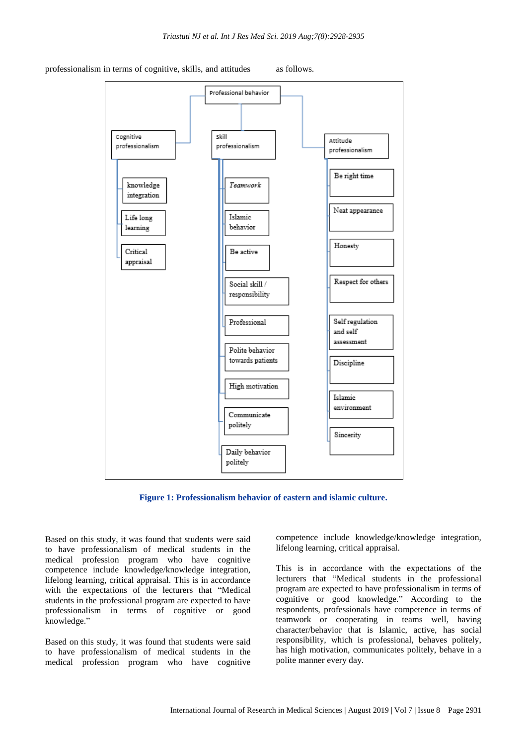#### professionalism in terms of cognitive, skills, and attitudes as follows.





Based on this study, it was found that students were said to have professionalism of medical students in the medical profession program who have cognitive competence include knowledge/knowledge integration, lifelong learning, critical appraisal. This is in accordance with the expectations of the lecturers that "Medical students in the professional program are expected to have professionalism in terms of cognitive or good knowledge."

Based on this study, it was found that students were said to have professionalism of medical students in the medical profession program who have cognitive

competence include knowledge/knowledge integration, lifelong learning, critical appraisal.

This is in accordance with the expectations of the lecturers that "Medical students in the professional program are expected to have professionalism in terms of cognitive or good knowledge." According to the respondents, professionals have competence in terms of teamwork or cooperating in teams well, having character/behavior that is Islamic, active, has social responsibility, which is professional, behaves politely, has high motivation, communicates politely, behave in a polite manner every day.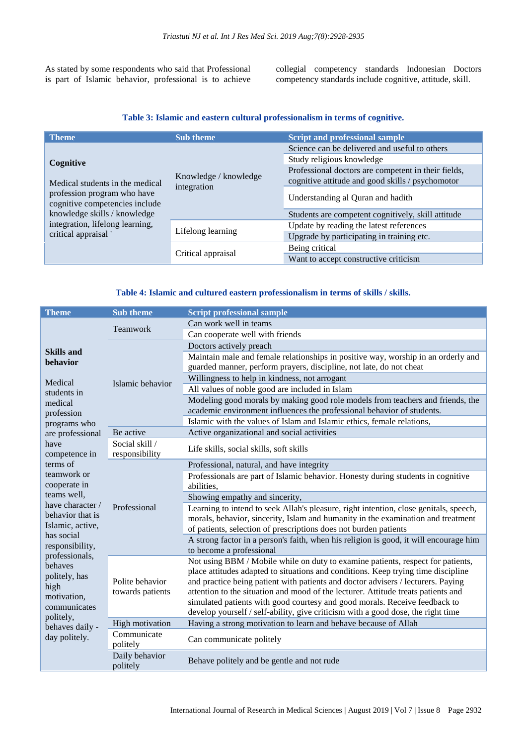As stated by some respondents who said that Professional is part of Islamic behavior, professional is to achieve collegial competency standards Indonesian Doctors competency standards include cognitive, attitude, skill.

#### **Table 3: Islamic and eastern cultural professionalism in terms of cognitive.**

| <b>Theme</b>                                                  | <b>Sub theme</b>                     | <b>Script and professional sample</b>               |  |  |
|---------------------------------------------------------------|--------------------------------------|-----------------------------------------------------|--|--|
|                                                               |                                      | Science can be delivered and useful to others       |  |  |
| Cognitive                                                     |                                      | Study religious knowledge                           |  |  |
|                                                               |                                      | Professional doctors are competent in their fields, |  |  |
| Medical students in the medical                               | Knowledge / knowledge<br>integration | cognitive attitude and good skills / psychomotor    |  |  |
| profession program who have<br>cognitive competencies include |                                      | Understanding al Quran and hadith                   |  |  |
| knowledge skills / knowledge                                  |                                      | Students are competent cognitively, skill attitude  |  |  |
| integration, lifelong learning,                               |                                      | Update by reading the latest references             |  |  |
| critical appraisal '                                          | Lifelong learning                    | Upgrade by participating in training etc.           |  |  |
|                                                               |                                      | Being critical                                      |  |  |
|                                                               | Critical appraisal                   | Want to accept constructive criticism               |  |  |

#### **Table 4: Islamic and cultured eastern professionalism in terms of skills / skills.**

| <b>Theme</b>                        | <b>Sub theme</b>                    | <b>Script professional sample</b>                                                                                                                                    |  |
|-------------------------------------|-------------------------------------|----------------------------------------------------------------------------------------------------------------------------------------------------------------------|--|
|                                     | Teamwork                            | Can work well in teams                                                                                                                                               |  |
|                                     |                                     | Can cooperate well with friends                                                                                                                                      |  |
|                                     |                                     | Doctors actively preach                                                                                                                                              |  |
| <b>Skills and</b><br>behavior       |                                     | Maintain male and female relationships in positive way, worship in an orderly and                                                                                    |  |
|                                     | Islamic behavior                    | guarded manner, perform prayers, discipline, not late, do not cheat                                                                                                  |  |
| Medical                             |                                     | Willingness to help in kindness, not arrogant                                                                                                                        |  |
| students in                         |                                     | All values of noble good are included in Islam                                                                                                                       |  |
| medical                             |                                     | Modeling good morals by making good role models from teachers and friends, the                                                                                       |  |
| profession                          |                                     | academic environment influences the professional behavior of students.                                                                                               |  |
| programs who                        |                                     | Islamic with the values of Islam and Islamic ethics, female relations,                                                                                               |  |
| are professional                    | Be active                           | Active organizational and social activities                                                                                                                          |  |
| have<br>competence in               | Social skill /<br>responsibility    | Life skills, social skills, soft skills                                                                                                                              |  |
| terms of                            |                                     | Professional, natural, and have integrity                                                                                                                            |  |
| teamwork or                         |                                     | Professionals are part of Islamic behavior. Honesty during students in cognitive                                                                                     |  |
| cooperate in                        |                                     | abilities,                                                                                                                                                           |  |
| teams well,<br>have character /     |                                     | Showing empathy and sincerity,                                                                                                                                       |  |
| behavior that is                    | Professional                        | Learning to intend to seek Allah's pleasure, right intention, close genitals, speech,                                                                                |  |
| Islamic, active,                    |                                     | morals, behavior, sincerity, Islam and humanity in the examination and treatment                                                                                     |  |
| has social                          |                                     | of patients, selection of prescriptions does not burden patients                                                                                                     |  |
| responsibility,                     |                                     | A strong factor in a person's faith, when his religion is good, it will encourage him                                                                                |  |
| professionals,                      |                                     | to become a professional                                                                                                                                             |  |
| behaves                             | Polite behavior<br>towards patients | Not using BBM / Mobile while on duty to examine patients, respect for patients,<br>place attitudes adapted to situations and conditions. Keep trying time discipline |  |
| politely, has                       |                                     | and practice being patient with patients and doctor advisers / lecturers. Paying                                                                                     |  |
| high<br>motivation,<br>communicates |                                     | attention to the situation and mood of the lecturer. Attitude treats patients and                                                                                    |  |
|                                     |                                     | simulated patients with good courtesy and good morals. Receive feedback to                                                                                           |  |
|                                     |                                     | develop yourself / self-ability, give criticism with a good dose, the right time                                                                                     |  |
| politely,<br>behaves daily -        | <b>High motivation</b>              | Having a strong motivation to learn and behave because of Allah                                                                                                      |  |
| day politely.                       | Communicate<br>politely             | Can communicate politely                                                                                                                                             |  |
|                                     | Daily behavior<br>politely          | Behave politely and be gentle and not rude                                                                                                                           |  |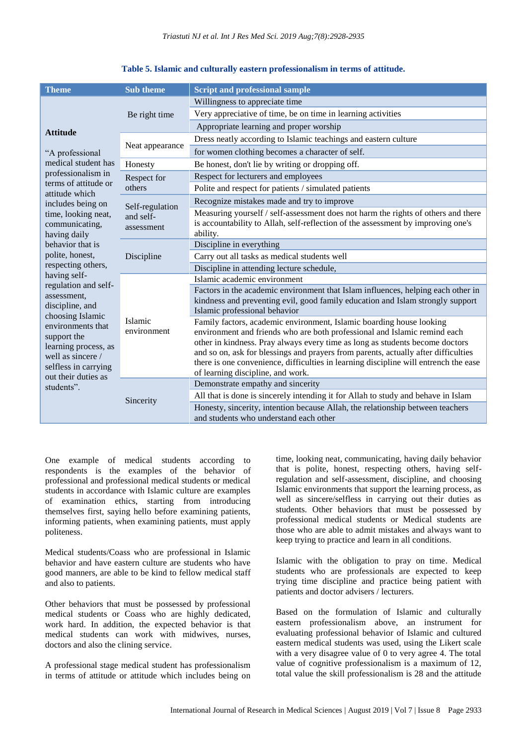| <b>Theme</b>                                                                                                                                     | <b>Sub theme</b>                           | <b>Script and professional sample</b>                                                                                                                                                                                                                                                                                                                                                                                                                |
|--------------------------------------------------------------------------------------------------------------------------------------------------|--------------------------------------------|------------------------------------------------------------------------------------------------------------------------------------------------------------------------------------------------------------------------------------------------------------------------------------------------------------------------------------------------------------------------------------------------------------------------------------------------------|
|                                                                                                                                                  | Be right time                              | Willingness to appreciate time                                                                                                                                                                                                                                                                                                                                                                                                                       |
| <b>Attitude</b>                                                                                                                                  |                                            | Very appreciative of time, be on time in learning activities                                                                                                                                                                                                                                                                                                                                                                                         |
|                                                                                                                                                  |                                            | Appropriate learning and proper worship                                                                                                                                                                                                                                                                                                                                                                                                              |
|                                                                                                                                                  |                                            | Dress neatly according to Islamic teachings and eastern culture                                                                                                                                                                                                                                                                                                                                                                                      |
| "A professional                                                                                                                                  | Neat appearance                            | for women clothing becomes a character of self.                                                                                                                                                                                                                                                                                                                                                                                                      |
| medical student has                                                                                                                              | Honesty                                    | Be honest, don't lie by writing or dropping off.                                                                                                                                                                                                                                                                                                                                                                                                     |
| professionalism in                                                                                                                               | Respect for<br>others                      | Respect for lecturers and employees                                                                                                                                                                                                                                                                                                                                                                                                                  |
| terms of attitude or                                                                                                                             |                                            | Polite and respect for patients / simulated patients                                                                                                                                                                                                                                                                                                                                                                                                 |
| attitude which<br>includes being on                                                                                                              |                                            | Recognize mistakes made and try to improve                                                                                                                                                                                                                                                                                                                                                                                                           |
| time, looking neat,<br>communicating,<br>having daily                                                                                            | Self-regulation<br>and self-<br>assessment | Measuring yourself / self-assessment does not harm the rights of others and there<br>is accountability to Allah, self-reflection of the assessment by improving one's<br>ability.                                                                                                                                                                                                                                                                    |
| behavior that is                                                                                                                                 |                                            | Discipline in everything                                                                                                                                                                                                                                                                                                                                                                                                                             |
| polite, honest,                                                                                                                                  | Discipline                                 | Carry out all tasks as medical students well                                                                                                                                                                                                                                                                                                                                                                                                         |
| respecting others,                                                                                                                               |                                            | Discipline in attending lecture schedule,                                                                                                                                                                                                                                                                                                                                                                                                            |
| having self-                                                                                                                                     | Islamic<br>environment                     | Islamic academic environment                                                                                                                                                                                                                                                                                                                                                                                                                         |
| regulation and self-<br>assessment,<br>discipline, and                                                                                           |                                            | Factors in the academic environment that Islam influences, helping each other in<br>kindness and preventing evil, good family education and Islam strongly support<br>Islamic professional behavior                                                                                                                                                                                                                                                  |
| choosing Islamic<br>environments that<br>support the<br>learning process, as<br>well as sincere /<br>selfless in carrying<br>out their duties as |                                            | Family factors, academic environment, Islamic boarding house looking<br>environment and friends who are both professional and Islamic remind each<br>other in kindness. Pray always every time as long as students become doctors<br>and so on, ask for blessings and prayers from parents, actually after difficulties<br>there is one convenience, difficulties in learning discipline will entrench the ease<br>of learning discipline, and work. |
| students".                                                                                                                                       | Sincerity                                  | Demonstrate empathy and sincerity                                                                                                                                                                                                                                                                                                                                                                                                                    |
|                                                                                                                                                  |                                            | All that is done is sincerely intending it for Allah to study and behave in Islam                                                                                                                                                                                                                                                                                                                                                                    |
|                                                                                                                                                  |                                            | Honesty, sincerity, intention because Allah, the relationship between teachers<br>and students who understand each other                                                                                                                                                                                                                                                                                                                             |

#### **Table 5. Islamic and culturally eastern professionalism in terms of attitude.**

One example of medical students according to respondents is the examples of the behavior of professional and professional medical students or medical students in accordance with Islamic culture are examples of examination ethics, starting from introducing themselves first, saying hello before examining patients, informing patients, when examining patients, must apply politeness.

Medical students/Coass who are professional in Islamic behavior and have eastern culture are students who have good manners, are able to be kind to fellow medical staff and also to patients.

Other behaviors that must be possessed by professional medical students or Coass who are highly dedicated, work hard. In addition, the expected behavior is that medical students can work with midwives, nurses, doctors and also the clining service.

A professional stage medical student has professionalism in terms of attitude or attitude which includes being on time, looking neat, communicating, having daily behavior that is polite, honest, respecting others, having selfregulation and self-assessment, discipline, and choosing Islamic environments that support the learning process, as well as sincere/selfless in carrying out their duties as students. Other behaviors that must be possessed by professional medical students or Medical students are those who are able to admit mistakes and always want to keep trying to practice and learn in all conditions.

Islamic with the obligation to pray on time. Medical students who are professionals are expected to keep trying time discipline and practice being patient with patients and doctor advisers / lecturers.

Based on the formulation of Islamic and culturally eastern professionalism above, an instrument for evaluating professional behavior of Islamic and cultured eastern medical students was used, using the Likert scale with a very disagree value of 0 to very agree 4. The total value of cognitive professionalism is a maximum of 12, total value the skill professionalism is 28 and the attitude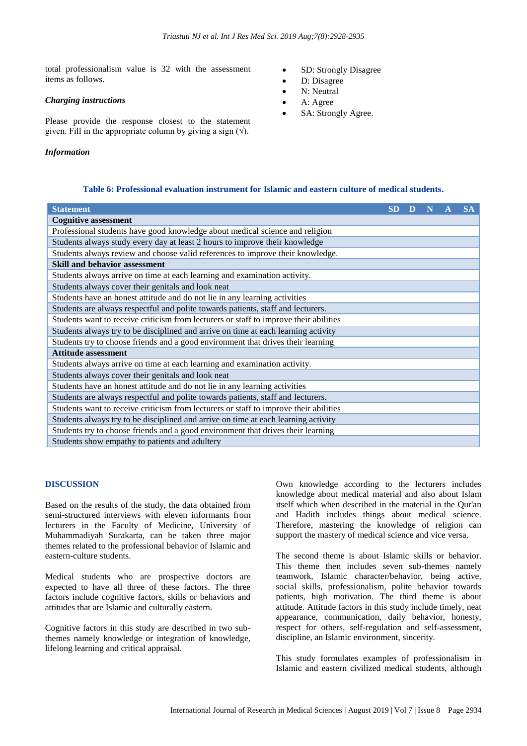total professionalism value is 32 with the assessment items as follows.

#### *Charging instructions*

Please provide the response closest to the statement given. Fill in the appropriate column by giving a sign  $(\sqrt)$ .

#### *Information*

- SD: Strongly Disagree
- D: Disagree
- N: Neutral
- A: Agree
- SA: Strongly Agree.

# **Table 6: Professional evaluation instrument for Islamic and eastern culture of medical students.**

| <b>Statement</b>                                                                      | <b>SD</b> | D | N | <b>SA</b> |
|---------------------------------------------------------------------------------------|-----------|---|---|-----------|
| <b>Cognitive assessment</b>                                                           |           |   |   |           |
| Professional students have good knowledge about medical science and religion          |           |   |   |           |
| Students always study every day at least 2 hours to improve their knowledge           |           |   |   |           |
| Students always review and choose valid references to improve their knowledge.        |           |   |   |           |
| <b>Skill and behavior assessment</b>                                                  |           |   |   |           |
| Students always arrive on time at each learning and examination activity.             |           |   |   |           |
| Students always cover their genitals and look neat                                    |           |   |   |           |
| Students have an honest attitude and do not lie in any learning activities            |           |   |   |           |
| Students are always respectful and polite towards patients, staff and lecturers.      |           |   |   |           |
| Students want to receive criticism from lecturers or staff to improve their abilities |           |   |   |           |
| Students always try to be disciplined and arrive on time at each learning activity    |           |   |   |           |
| Students try to choose friends and a good environment that drives their learning      |           |   |   |           |
| <b>Attitude assessment</b>                                                            |           |   |   |           |
| Students always arrive on time at each learning and examination activity.             |           |   |   |           |
| Students always cover their genitals and look neat                                    |           |   |   |           |
| Students have an honest attitude and do not lie in any learning activities            |           |   |   |           |
| Students are always respectful and polite towards patients, staff and lecturers.      |           |   |   |           |
| Students want to receive criticism from lecturers or staff to improve their abilities |           |   |   |           |
| Students always try to be disciplined and arrive on time at each learning activity    |           |   |   |           |
| Students try to choose friends and a good environment that drives their learning      |           |   |   |           |
| Students show empathy to patients and adultery                                        |           |   |   |           |

#### **DISCUSSION**

Based on the results of the study, the data obtained from semi-structured interviews with eleven informants from lecturers in the Faculty of Medicine, University of Muhammadiyah Surakarta, can be taken three major themes related to the professional behavior of Islamic and eastern-culture students.

Medical students who are prospective doctors are expected to have all three of these factors. The three factors include cognitive factors, skills or behaviors and attitudes that are Islamic and culturally eastern.

Cognitive factors in this study are described in two subthemes namely knowledge or integration of knowledge, lifelong learning and critical appraisal.

Own knowledge according to the lecturers includes knowledge about medical material and also about Islam itself which when described in the material in the Qur'an and Hadith includes things about medical science. Therefore, mastering the knowledge of religion can support the mastery of medical science and vice versa.

The second theme is about Islamic skills or behavior. This theme then includes seven sub-themes namely teamwork, Islamic character/behavior, being active, social skills, professionalism, polite behavior towards patients, high motivation. The third theme is about attitude. Attitude factors in this study include timely, neat appearance, communication, daily behavior, honesty, respect for others, self-regulation and self-assessment, discipline, an Islamic environment, sincerity.

This study formulates examples of professionalism in Islamic and eastern civilized medical students, although